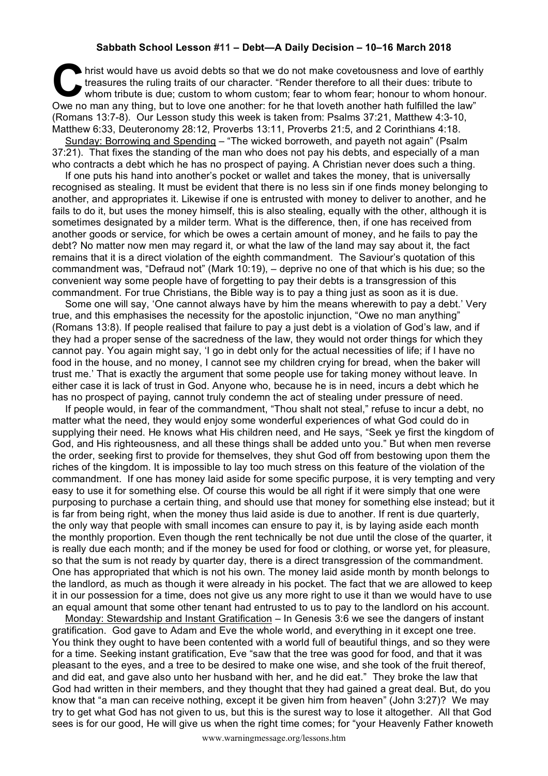## **Sabbath School Lesson #11 – Debt—A Daily Decision – 10–16 March 2018**

hrist would have us avoid debts so that we do not make covetousness and love of earthly treasures the ruling traits of our character. "Render therefore to all their dues: tribute to whom tribute is due; custom to whom cust treasures the ruling traits of our character. "Render therefore to all their dues: tribute to whom tribute is due; custom to whom custom; fear to whom fear; honour to whom honour. Owe no man any thing, but to love one another: for he that loveth another hath fulfilled the law" (Romans 13:7-8). Our Lesson study this week is taken from: Psalms 37:21, Matthew 4:3-10, Matthew 6:33, Deuteronomy 28:12, Proverbs 13:11, Proverbs 21:5, and 2 Corinthians 4:18.

Sunday: Borrowing and Spending – "The wicked borroweth, and payeth not again" (Psalm 37:21). That fixes the standing of the man who does not pay his debts, and especially of a man who contracts a debt which he has no prospect of paying. A Christian never does such a thing.

If one puts his hand into another's pocket or wallet and takes the money, that is universally recognised as stealing. It must be evident that there is no less sin if one finds money belonging to another, and appropriates it. Likewise if one is entrusted with money to deliver to another, and he fails to do it, but uses the money himself, this is also stealing, equally with the other, although it is sometimes designated by a milder term. What is the difference, then, if one has received from another goods or service, for which be owes a certain amount of money, and he fails to pay the debt? No matter now men may regard it, or what the law of the land may say about it, the fact remains that it is a direct violation of the eighth commandment. The Saviour's quotation of this commandment was, "Defraud not" (Mark 10:19), – deprive no one of that which is his due; so the convenient way some people have of forgetting to pay their debts is a transgression of this commandment. For true Christians, the Bible way is to pay a thing just as soon as it is due.

Some one will say, 'One cannot always have by him the means wherewith to pay a debt.' Very true, and this emphasises the necessity for the apostolic injunction, "Owe no man anything" (Romans 13:8). If people realised that failure to pay a just debt is a violation of God's law, and if they had a proper sense of the sacredness of the law, they would not order things for which they cannot pay. You again might say, 'I go in debt only for the actual necessities of life; if I have no food in the house, and no money, I cannot see my children crying for bread, when the baker will trust me.' That is exactly the argument that some people use for taking money without leave. In either case it is lack of trust in God. Anyone who, because he is in need, incurs a debt which he has no prospect of paying, cannot truly condemn the act of stealing under pressure of need.

If people would, in fear of the commandment, "Thou shalt not steal," refuse to incur a debt, no matter what the need, they would enjoy some wonderful experiences of what God could do in supplying their need. He knows what His children need, and He says, "Seek ye first the kingdom of God, and His righteousness, and all these things shall be added unto you." But when men reverse the order, seeking first to provide for themselves, they shut God off from bestowing upon them the riches of the kingdom. It is impossible to lay too much stress on this feature of the violation of the commandment. If one has money laid aside for some specific purpose, it is very tempting and very easy to use it for something else. Of course this would be all right if it were simply that one were purposing to purchase a certain thing, and should use that money for something else instead; but it is far from being right, when the money thus laid aside is due to another. If rent is due quarterly, the only way that people with small incomes can ensure to pay it, is by laying aside each month the monthly proportion. Even though the rent technically be not due until the close of the quarter, it is really due each month; and if the money be used for food or clothing, or worse yet, for pleasure, so that the sum is not ready by quarter day, there is a direct transgression of the commandment. One has appropriated that which is not his own. The money laid aside month by month belongs to the landlord, as much as though it were already in his pocket. The fact that we are allowed to keep it in our possession for a time, does not give us any more right to use it than we would have to use an equal amount that some other tenant had entrusted to us to pay to the landlord on his account.

Monday: Stewardship and Instant Gratification – In Genesis 3:6 we see the dangers of instant gratification. God gave to Adam and Eve the whole world, and everything in it except one tree. You think they ought to have been contented with a world full of beautiful things, and so they were for a time. Seeking instant gratification. Eve "saw that the tree was good for food, and that it was pleasant to the eyes, and a tree to be desired to make one wise, and she took of the fruit thereof, and did eat, and gave also unto her husband with her, and he did eat." They broke the law that God had written in their members, and they thought that they had gained a great deal. But, do you know that "a man can receive nothing, except it be given him from heaven" (John 3:27)? We may try to get what God has not given to us, but this is the surest way to lose it altogether. All that God sees is for our good, He will give us when the right time comes; for "your Heavenly Father knoweth